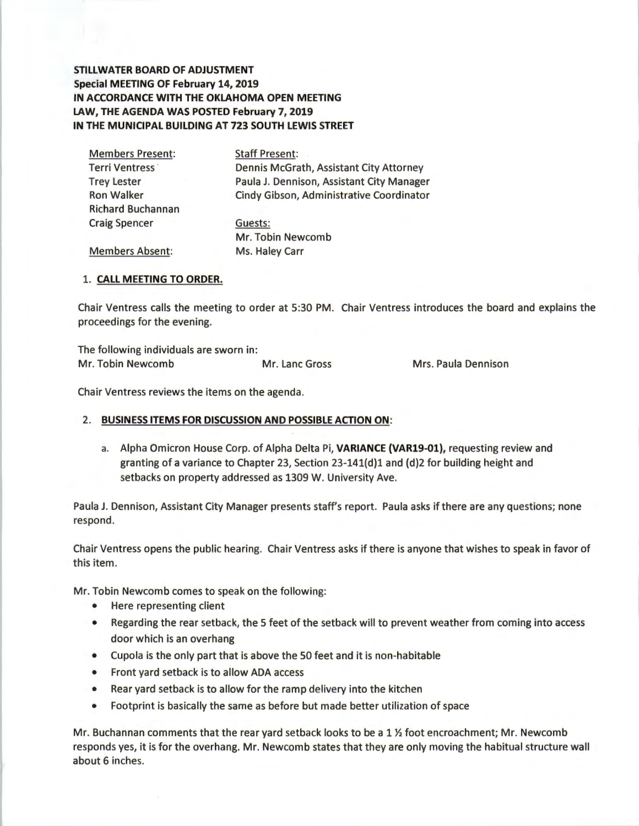**STILLWATER BOARD OF ADJUSTMENT Special MEETING OF February 14, 2019 IN ACCORDANCE WITH THE OKLAHOMA OPEN MEETING LAW, THE AGENDA WAS POSTED February 7, 2019 IN THE MUNICIPAL BUILDING AT 723 SOUTH LEWIS STREET** 

| <b>Members Present:</b>  | <b>Staff Present:</b>                     |  |  |  |
|--------------------------|-------------------------------------------|--|--|--|
| Terri Ventress           | Dennis McGrath, Assistant City Attorney   |  |  |  |
| <b>Trey Lester</b>       | Paula J. Dennison, Assistant City Manager |  |  |  |
| <b>Ron Walker</b>        | Cindy Gibson, Administrative Coordinator  |  |  |  |
| <b>Richard Buchannan</b> |                                           |  |  |  |
| <b>Craig Spencer</b>     | Guests:                                   |  |  |  |
|                          | Mr. Tobin Newcomb                         |  |  |  |
| <b>Members Absent:</b>   | Ms. Haley Carr                            |  |  |  |

### 1. **CALL MEETING TO ORDER.**

Chair Ventress calls the meeting to order at 5:30 PM. Chair Ventress introduces the board and explains the proceedings for the evening.

The following individuals are sworn in: Mr. Tobin Newcomb Mr. Lane Gross Mrs. Paula Dennison

Chair Ventress reviews the items on the agenda.

# 2. **BUSINESS ITEMS FOR DISCUSSION AND POSSIBLE ACTION ON:**

a. Alpha Omicron House Corp. of Alpha Delta Pi, **VARIANCE (VAR19-01),** requesting review and granting of a variance to Chapter 23, Section 23-141{d)l and (d)2 for building height and setbacks on property addressed as 1309 W. University Ave.

Paula J. Dennison, Assistant City Manager presents staff's report. Paula asks if there are any questions; none respond.

Chair Ventress opens the public hearing. Chair Ventress asks if there is anyone that wishes to speak in favor of this item.

Mr. Tobin Newcomb comes to speak on the following:

- Here representing client
- Regarding the rear setback, the 5 feet of the setback will to prevent weather from coming into access door which is an overhang
- Cupola is the only part that is above the 50 feet and it is non-habitable
- Front yard setback is to allow ADA access
- Rear yard setback is to allow for the ramp delivery into the kitchen
- Footprint is basically the same as before but made better utilization of space

Mr. Buchannan comments that the rear yard setback looks to be a 1 *Yi* foot encroachment; Mr. Newcomb responds yes, it is for the overhang. Mr. Newcomb states that they are only moving the habitual structure wall about 6 inches.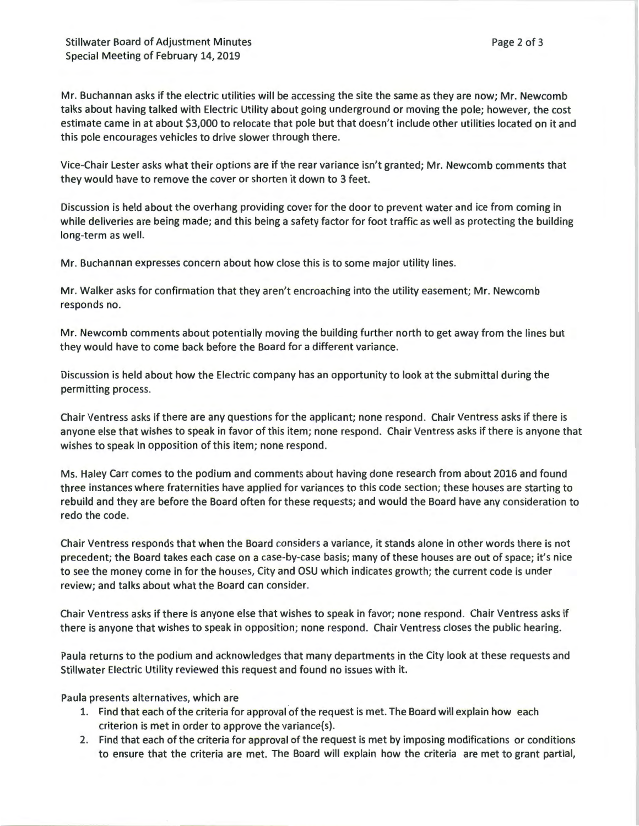Stillwater Board of Adjustment Minutes Special Meeting of February 14, 2019

Mr. Buchannan asks if the electric utilities will be accessing the site the same as they are now; Mr. Newcomb talks about having talked with Electric Utility about going underground or moving the pole; however, the cost estimate came in at about \$3,000 to relocate that pole but that doesn't include other utilities located on it and this pole encourages vehicles to drive slower through there.

Vice-Chair Lester asks what their options are if the rear variance isn't granted; Mr. Newcomb comments that they would have to remove the cover or shorten it down to 3 feet.

Discussion is held about the overhang providing cover for the door to prevent water and ice from coming in while deliveries are being made; and this being a safety factor for foot traffic as well as protecting the building long-term as well.

Mr. Buchannan expresses concern about how close this is to some major utility lines.

Mr. Walker asks for confirmation that they aren't encroaching into the utility easement; Mr. Newcomb responds no.

Mr. Newcomb comments about potentially moving the building further north to get away from the lines but they would have to come back before the Board for a different variance.

Discussion is held about how the Electric company has an opportunity to look at the submittal during the permitting process.

Chair Ventress asks if there are any questions for the applicant; none respond . Chair Ventress asks if there is anyone else that wishes to speak in favor of this item; none respond. Chair Ventress asks if there is anyone that wishes to speak in opposition of this item; none respond.

Ms. Haley Carr comes to the podium and comments about having done research from about 2016 and found three instances where fraternities have applied for variances to this code section; these houses are starting to rebuild and they are before the Board often for these requests; and would the Board have any consideration to redo the code.

Chair Ventress responds that when the Board considers a variance, it stands alone in other words there is not precedent; the Board takes each case on a case-by-case basis; many of these houses are out of space; it's nice to see the money come in for the houses, City and OSU which indicates growth; the current code is under review; and talks about what the Board can consider.

Chair Ventress asks if there is anyone else that wishes to speak in favor; none respond . Chair Ventress asks if there is anyone that wishes to speak in opposition; none respond . Chair Ventress closes the public hearing.

Paula returns to the podium and acknowledges that many departments in the City look at these requests and Stillwater Electric Utility reviewed this request and found no issues with it.

Paula presents alternatives, which are

- 1. Find that each of the criteria for approval of the request is met. The Board will explain how each criterion is met in order to approve the variance(s).
- 2. Find that each of the criteria for approval of the request is met by imposing modifications or conditions to ensure that the criteria are met. The Board will explain how the criteria are met to grant partial,